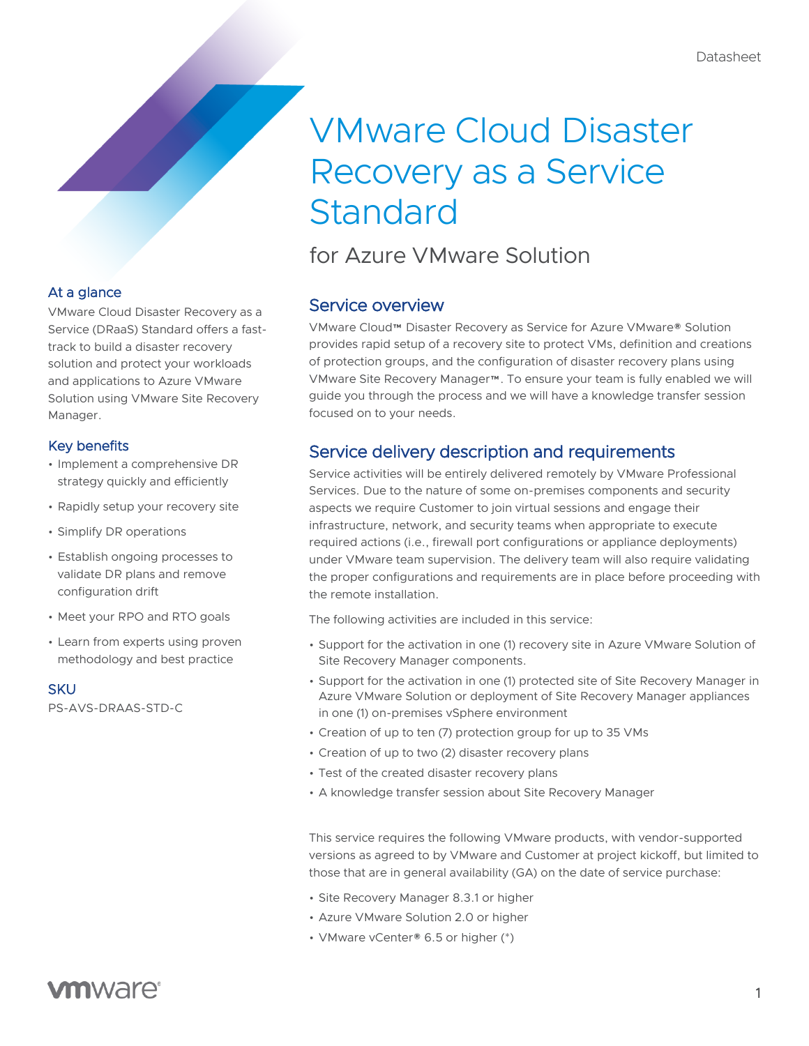# VMware Cloud Disaster Recovery as a Service Standard

for Azure VMware Solution

## Service overview

VMware Cloud™ Disaster Recovery as Service for Azure VMware® Solution provides rapid setup of a recovery site to protect VMs, definition and creations of protection groups, and the configuration of disaster recovery plans using VMware Site Recovery Manager™. To ensure your team is fully enabled we will guide you through the process and we will have a knowledge transfer session focused on to your needs.

## Service delivery description and requirements

Service activities will be entirely delivered remotely by VMware Professional Services. Due to the nature of some on-premises components and security aspects we require Customer to join virtual sessions and engage their infrastructure, network, and security teams when appropriate to execute required actions (i.e., firewall port configurations or appliance deployments) under VMware team supervision. The delivery team will also require validating the proper configurations and requirements are in place before proceeding with the remote installation.

The following activities are included in this service:

- Support for the activation in one (1) recovery site in Azure VMware Solution of Site Recovery Manager components.
- Support for the activation in one (1) protected site of Site Recovery Manager in Azure VMware Solution or deployment of Site Recovery Manager appliances in one (1) on-premises vSphere environment
- Creation of up to ten (7) protection group for up to 35 VMs
- Creation of up to two (2) disaster recovery plans
- Test of the created disaster recovery plans
- A knowledge transfer session about Site Recovery Manager

This service requires the following VMware products, with vendor-supported versions as agreed to by VMware and Customer at project kickoff, but limited to those that are in general availability (GA) on the date of service purchase:

- Site Recovery Manager 8.3.1 or higher
- Azure VMware Solution 2.0 or higher
- VMware vCenter® 6.5 or higher (\*)

## At a glance

VMware Cloud Disaster Recovery as a Service (DRaaS) Standard offers a fasttrack to build a disaster recovery solution and protect your workloads and applications to Azure VMware Solution using VMware Site Recovery Manager.

## Key benefits

- Implement a comprehensive DR strategy quickly and efficiently
- Rapidly setup your recovery site
- Simplify DR operations
- Establish ongoing processes to validate DR plans and remove configuration drift
- Meet your RPO and RTO goals
- Learn from experts using proven methodology and best practice

**SKU** 

PS-AVS-DRAAS-STD-C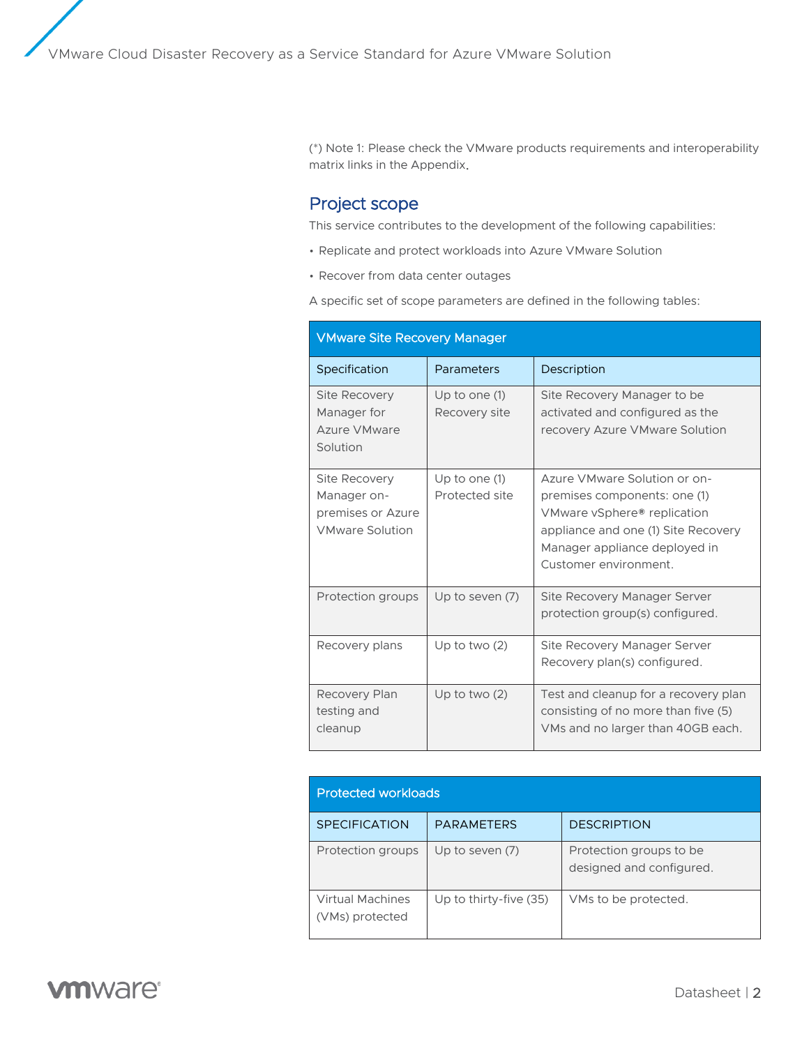(\*) Note 1: Please check the VMware products requirements and interoperability matrix links in the Appendix.

## Project scope

This service contributes to the development of the following capabilities:

- Replicate and protect workloads into Azure VMware Solution
- Recover from data center outages

A specific set of scope parameters are defined in the following tables:

| <b>VMware Site Recovery Manager</b>                                         |                                   |                                                                                                                                                                                              |  |
|-----------------------------------------------------------------------------|-----------------------------------|----------------------------------------------------------------------------------------------------------------------------------------------------------------------------------------------|--|
| Specification                                                               | Parameters                        | Description                                                                                                                                                                                  |  |
| <b>Site Recovery</b><br>Manager for<br>Azure VMware<br>Solution             | Up to one $(1)$<br>Recovery site  | Site Recovery Manager to be<br>activated and configured as the<br>recovery Azure VMware Solution                                                                                             |  |
| Site Recovery<br>Manager on-<br>premises or Azure<br><b>VMware Solution</b> | Up to one $(1)$<br>Protected site | Azure VMware Solution or on-<br>premises components: one (1)<br>VMware vSphere® replication<br>appliance and one (1) Site Recovery<br>Manager appliance deployed in<br>Customer environment. |  |
| Protection groups                                                           | Up to seven (7)                   | Site Recovery Manager Server<br>protection group(s) configured.                                                                                                                              |  |
| Recovery plans                                                              | Up to two $(2)$                   | Site Recovery Manager Server<br>Recovery plan(s) configured.                                                                                                                                 |  |
| Recovery Plan<br>testing and<br>cleanup                                     | Up to two $(2)$                   | Test and cleanup for a recovery plan<br>consisting of no more than five (5)<br>VMs and no larger than 40GB each.                                                                             |  |

| <b>Protected workloads</b>          |                        |                                                     |  |
|-------------------------------------|------------------------|-----------------------------------------------------|--|
| <b>SPECIFICATION</b>                | <b>PARAMETERS</b>      | <b>DESCRIPTION</b>                                  |  |
| Protection groups                   | Up to seven (7)        | Protection groups to be<br>designed and configured. |  |
| Virtual Machines<br>(VMs) protected | Up to thirty-five (35) | VMs to be protected.                                |  |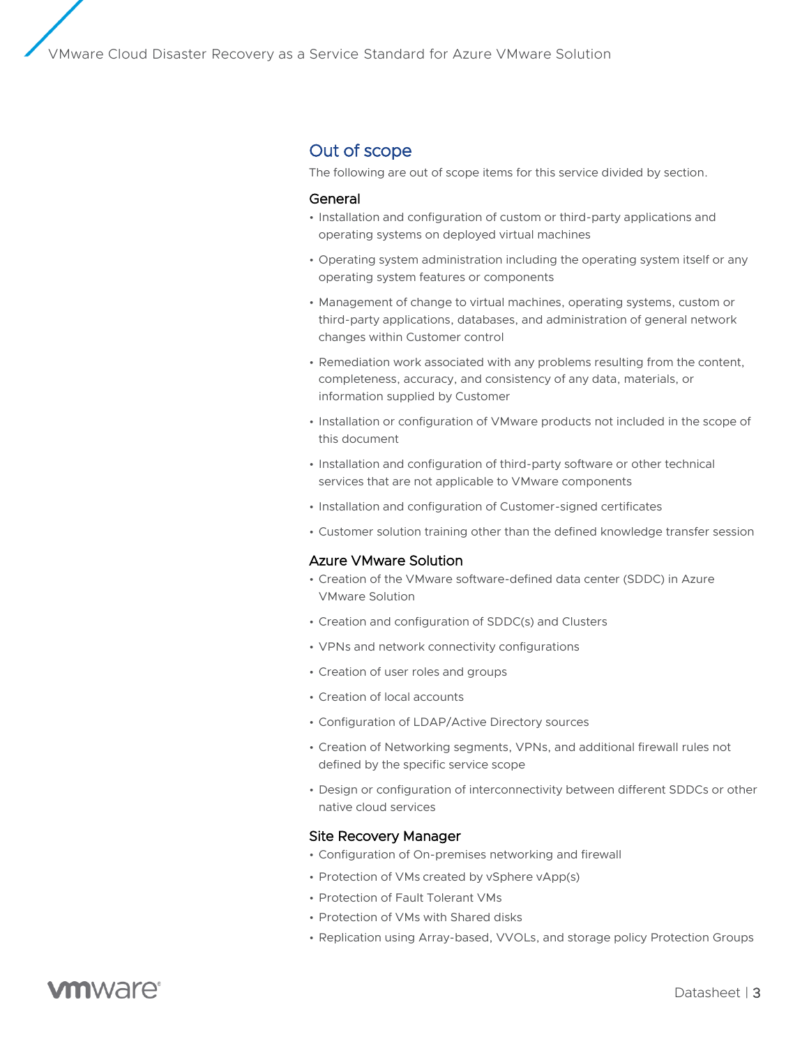## Out of scope

The following are out of scope items for this service divided by section.

#### General

- Installation and configuration of custom or third-party applications and operating systems on deployed virtual machines
- Operating system administration including the operating system itself or any operating system features or components
- Management of change to virtual machines, operating systems, custom or third-party applications, databases, and administration of general network changes within Customer control
- Remediation work associated with any problems resulting from the content, completeness, accuracy, and consistency of any data, materials, or information supplied by Customer
- Installation or configuration of VMware products not included in the scope of this document
- Installation and configuration of third-party software or other technical services that are not applicable to VMware components
- Installation and configuration of Customer-signed certificates
- Customer solution training other than the defined knowledge transfer session

#### Azure VMware Solution

- Creation of the VMware software-defined data center (SDDC) in Azure VMware Solution
- Creation and configuration of SDDC(s) and Clusters
- VPNs and network connectivity configurations
- Creation of user roles and groups
- Creation of local accounts
- Configuration of LDAP/Active Directory sources
- Creation of Networking segments, VPNs, and additional firewall rules not defined by the specific service scope
- Design or configuration of interconnectivity between different SDDCs or other native cloud services

#### Site Recovery Manager

- Configuration of On-premises networking and firewall
- Protection of VMs created by vSphere vApp(s)
- Protection of Fault Tolerant VMs
- Protection of VMs with Shared disks
- Replication using Array-based, VVOLs, and storage policy Protection Groups

# **vm**ware<sup>®</sup>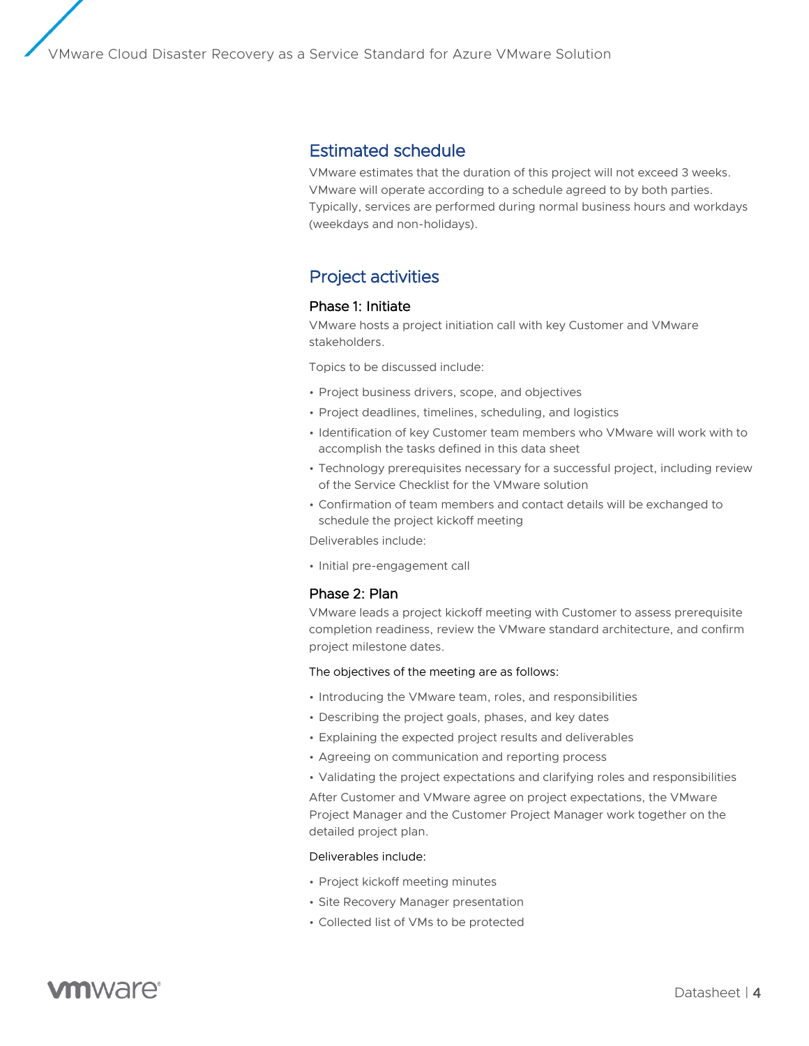## Estimated schedule

VMware estimates that the duration of this project will not exceed 3 weeks. VMware will operate according to a schedule agreed to by both parties. Typically, services are performed during normal business hours and workdays (weekdays and non-holidays).

## Project activities

#### Phase 1: Initiate

VMware hosts a project initiation call with key Customer and VMware stakeholders.

Topics to be discussed include:

- Project business drivers, scope, and objectives
- Project deadlines, timelines, scheduling, and logistics
- Identification of key Customer team members who VMware will work with to accomplish the tasks defined in this data sheet
- Technology prerequisites necessary for a successful project, including review of the Service Checklist for the VMware solution
- Confirmation of team members and contact details will be exchanged to schedule the project kickoff meeting

Deliverables include:

• Initial pre-engagement call

#### Phase 2: Plan

VMware leads a project kickoff meeting with Customer to assess prerequisite completion readiness, review the VMware standard architecture, and confirm project milestone dates.

#### The objectives of the meeting are as follows:

- Introducing the VMware team, roles, and responsibilities
- Describing the project goals, phases, and key dates
- Explaining the expected project results and deliverables
- Agreeing on communication and reporting process
- Validating the project expectations and clarifying roles and responsibilities

After Customer and VMware agree on project expectations, the VMware Project Manager and the Customer Project Manager work together on the detailed project plan.

#### Deliverables include:

- Project kickoff meeting minutes
- Site Recovery Manager presentation
- Collected list of VMs to be protected

# **vm**ware<sup>®</sup>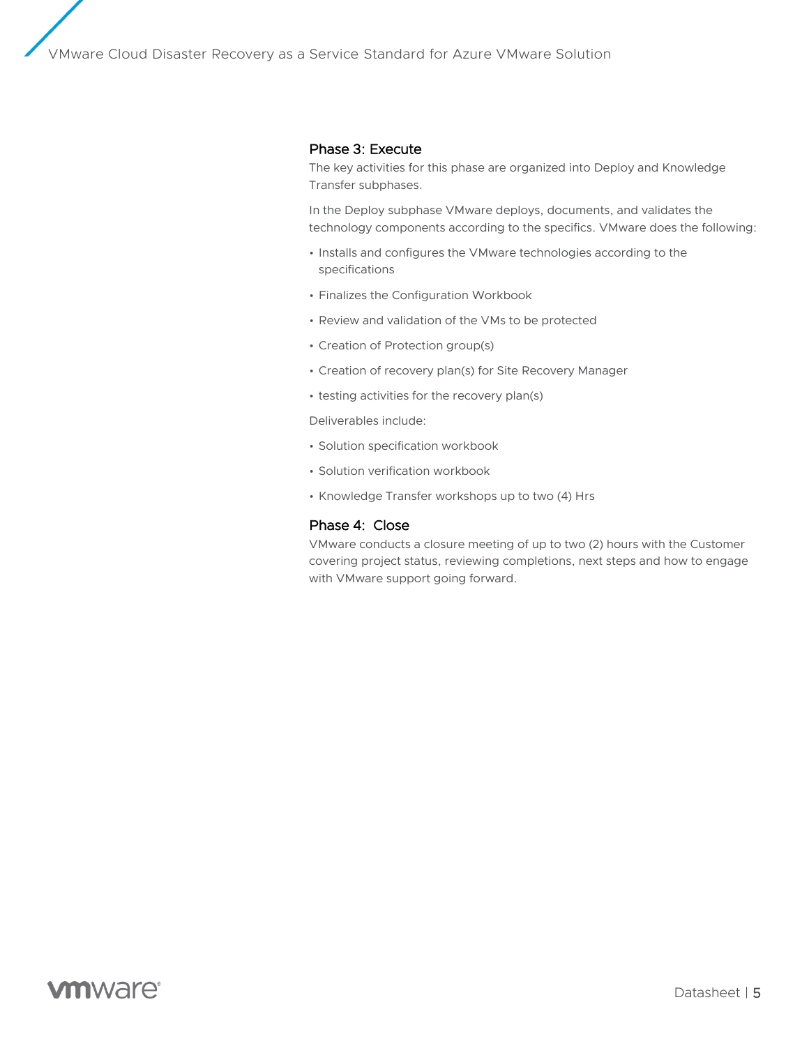#### Phase 3: Execute

The key activities for this phase are organized into Deploy and Knowledge Transfer subphases.

In the Deploy subphase VMware deploys, documents, and validates the technology components according to the specifics. VMware does the following:

- Installs and configures the VMware technologies according to the specifications
- Finalizes the Configuration Workbook
- Review and validation of the VMs to be protected
- Creation of Protection group(s)
- Creation of recovery plan(s) for Site Recovery Manager
- testing activities for the recovery plan(s)

Deliverables include:

- Solution specification workbook
- Solution verification workbook
- Knowledge Transfer workshops up to two (4) Hrs

#### Phase 4: Close

VMware conducts a closure meeting of up to two (2) hours with the Customer covering project status, reviewing completions, next steps and how to engage with VMware support going forward.

# **vm**ware<sup>®</sup>